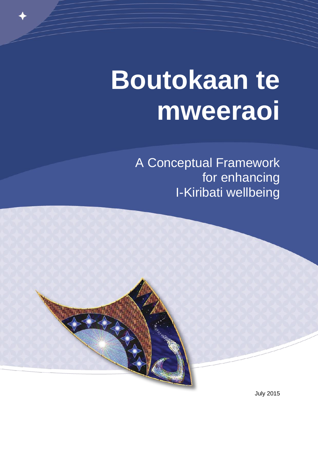# **Boutokaan te mweeraoi**

A Conceptual Framework for enhancing I-Kiribati wellbeing

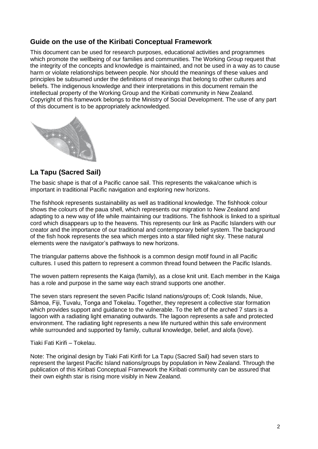#### **Guide on the use of the Kiribati Conceptual Framework**

This document can be used for research purposes, educational activities and programmes which promote the wellbeing of our families and communities. The Working Group request that the integrity of the concepts and knowledge is maintained, and not be used in a way as to cause harm or violate relationships between people. Nor should the meanings of these values and principles be subsumed under the definitions of meanings that belong to other cultures and beliefs. The indigenous knowledge and their interpretations in this document remain the intellectual property of the Working Group and the Kiribati community in New Zealand. Copyright of this framework belongs to the Ministry of Social Development. The use of any part of this document is to be appropriately acknowledged.



#### **La Tapu (Sacred Sail)**

The basic shape is that of a Pacific canoe sail. This represents the vaka/canoe which is important in traditional Pacific navigation and exploring new horizons.

The fishhook represents sustainability as well as traditional knowledge. The fishhook colour shows the colours of the paua shell, which represents our migration to New Zealand and adapting to a new way of life while maintaining our traditions. The fishhook is linked to a spiritual cord which disappears up to the heavens. This represents our link as Pacific Islanders with our creator and the importance of our traditional and contemporary belief system. The background of the fish hook represents the sea which merges into a star filled night sky. These natural elements were the navigator's pathways to new horizons.

The triangular patterns above the fishhook is a common design motif found in all Pacific cultures. I used this pattern to represent a common thread found between the Pacific Islands.

The woven pattern represents the Kaiga (family), as a close knit unit. Each member in the Kaiga has a role and purpose in the same way each strand supports one another.

The seven stars represent the seven Pacific Island nations/groups of; Cook Islands, Niue, Sāmoa, Fiji, Tuvalu, Tonga and Tokelau. Together, they represent a collective star formation which provides support and guidance to the vulnerable. To the left of the arched 7 stars is a lagoon with a radiating light emanating outwards. The lagoon represents a safe and protected environment. The radiating light represents a new life nurtured within this safe environment while surrounded and supported by family, cultural knowledge, belief, and alofa (love).

Tiaki Fati Kirifi – Tokelau.

Note: The original design by Tiaki Fati Kirifi for La Tapu (Sacred Sail) had seven stars to represent the largest Pacific Island nations/groups by population in New Zealand. Through the publication of this Kiribati Conceptual Framework the Kiribati community can be assured that their own eighth star is rising more visibly in New Zealand.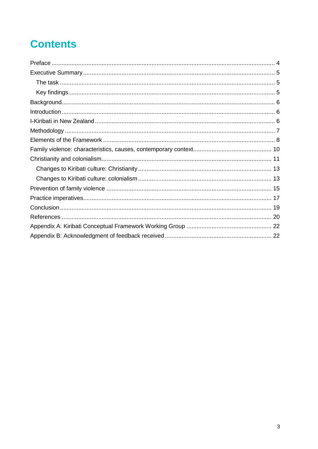# **Contents**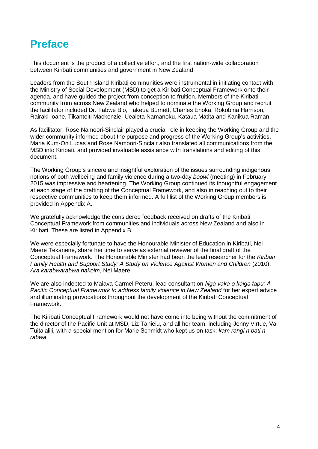### **Preface**

This document is the product of a collective effort, and the first nation-wide collaboration between Kiribati communities and government in New Zealand.

Leaders from the South Island Kiribati communities were instrumental in initiating contact with the Ministry of Social Development (MSD) to get a Kiribati Conceptual Framework onto their agenda, and have guided the project from conception to fruition. Members of the Kiribati community from across New Zealand who helped to nominate the Working Group and recruit the facilitator included Dr. Tabwe Bio, Takeua Burnett, Charles Enoka, Rokobina Harrison, Rairaki Ioane, Tikanteiti Mackenzie, Ueaieta Namanoku, Kataua Matita and Kanikua Raman.

As facilitator, Rose Namoori-Sinclair played a crucial role in keeping the Working Group and the wider community informed about the purpose and progress of the Working Group's activities. Maria Kum-On Lucas and Rose Namoori-Sinclair also translated all communications from the MSD into Kiribati, and provided invaluable assistance with translations and editing of this document.

The Working Group's sincere and insightful exploration of the issues surrounding indigenous notions of both wellbeing and family violence during a two-day *boowi* (meeting) in February 2015 was impressive and heartening. The Working Group continued its thoughtful engagement at each stage of the drafting of the Conceptual Framework, and also in reaching out to their respective communities to keep them informed. A full list of the Working Group members is provided in Appendix A.

We gratefully acknowledge the considered feedback received on drafts of the Kiribati Conceptual Framework from communities and individuals across New Zealand and also in Kiribati. These are listed in Appendix B.

We were especially fortunate to have the Honourable Minister of Education in Kiribati, Nei Maere Tekanene, share her time to serve as external reviewer of the final draft of the Conceptual Framework. The Honourable Minister had been the lead researcher for the *Kiribati Family Health and Support Study: A Study on Violence Against Women and Children* (2010). *Ara karabwarabwa nakoim*, Nei Maere.

We are also indebted to Maiava Carmel Peteru, lead consultant on *Ngā vaka o kāiga tapu: A Pacific Conceptual Framework to address family violence in New Zealand* for her expert advice and illuminating provocations throughout the development of the Kiribati Conceptual Framework.

The Kiribati Conceptual Framework would not have come into being without the commitment of the director of the Pacific Unit at MSD, Liz Tanielu, and all her team, including Jenny Virtue, Vai Tuita'alili, with a special mention for Marie Schmidt who kept us on task: *kam rangi n bati n rabwa*.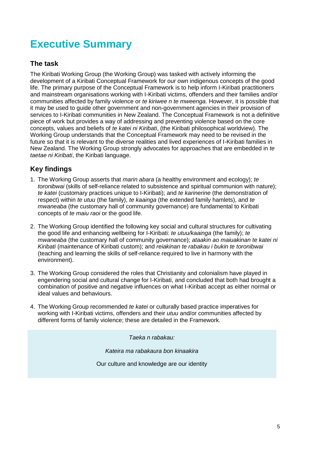# **Executive Summary**

#### **The task**

The Kiribati Working Group (the Working Group) was tasked with actively informing the development of a Kiribati Conceptual Framework for our own indigenous concepts of the good life. The primary purpose of the Conceptual Framework is to help inform I-Kiribati practitioners and mainstream organisations working with I-Kiribati victims, offenders and their families and/or communities affected by family violence or *te kiriwee n te mweenga*. However, it is possible that it may be used to guide other government and non-government agencies in their provision of services to I-Kiribati communities in New Zealand. The Conceptual Framework is not a definitive piece of work but provides a way of addressing and preventing violence based on the core concepts, values and beliefs of *te katei ni Kiribati*, (the Kiribati philosophical worldview). The Working Group understands that the Conceptual Framework may need to be revised in the future so that it is relevant to the diverse realities and lived experiences of I-Kiribati families in New Zealand. The Working Group strongly advocates for approaches that are embedded in *te taetae ni Kiribati*, the Kiribati language.

#### **Key findings**

- 1. The Working Group asserts that *marin abara* (a healthy environment and ecology); *te toronibwai* (skills of self-reliance related to subsistence and spiritual communion with nature); *te katei* (customary practices unique to I-Kiribati); and *te karinerine* (the demonstration of respect) within *te utuu* (the family), *te kaainga* (the extended family hamlets), and *te mwaneaba* (the customary hall of community governance) are fundamental to Kiribati concepts of *te maiu raoi* or the good life.
- 2. The Working Group identified the following key social and cultural structures for cultivating the good life and enhancing wellbeing for I-Kiribati: *te utuu/kaainga* (the family); *te mwaneaba* (the customary hall of community governance); *ataakin ao maiuakinan te katei ni Kiribati* (maintenance of Kiribati custom); and *reiakinan te rabakau i bukin te toronibwai* (teaching and learning the skills of self-reliance required to live in harmony with the environment).
- 3. The Working Group considered the roles that Christianity and colonialism have played in engendering social and cultural change for I-Kiribati, and concluded that both had brought a combination of positive and negative influences on what I-Kiribati accept as either normal or ideal values and behaviours.
- 4. The Working Group recommended *te katei* or culturally based practice imperatives for working with I-Kiribati victims, offenders and their *utuu* and/or communities affected by different forms of family violence; these are detailed in the Framework.

*Taeka n rabakau:*

*Kateira ma rabakaura bon kinaakira*

Our culture and knowledge are our identity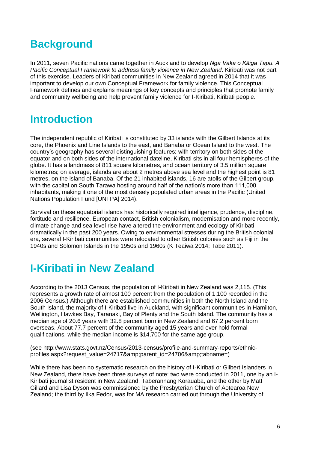# **Background**

In 2011, seven Pacific nations came together in Auckland to develop *Nga Vaka o Kāiga Tapu. A Pacific Conceptual Framework to address family violence in New Zealand*. Kiribati was not part of this exercise. Leaders of Kiribati communities in New Zealand agreed in 2014 that it was important to develop our own Conceptual Framework for family violence. This Conceptual Framework defines and explains meanings of key concepts and principles that promote family and community wellbeing and help prevent family violence for I-Kiribati, Kiribati people.

# **Introduction**

The independent republic of Kiribati is constituted by 33 islands with the Gilbert Islands at its core, the Phoenix and Line Islands to the east, and Banaba or Ocean Island to the west. The country's geography has several distinguishing features: with territory on both sides of the equator and on both sides of the international dateline, Kiribati sits in all four hemispheres of the globe. It has a landmass of 811 square kilometres, and ocean territory of 3.5 million square kilometres; on average, islands are about 2 metres above sea level and the highest point is 81 metres, on the island of Banaba. Of the 21 inhabited islands, 16 are atolls of the Gilbert group, with the capital on South Tarawa hosting around half of the nation's more than 111,000 inhabitants, making it one of the most densely populated urban areas in the Pacific (United Nations Population Fund [UNFPA] 2014).

Survival on these equatorial islands has historically required intelligence, prudence, discipline, fortitude and resilience. European contact, British colonialism, modernisation and more recently, climate change and sea level rise have altered the environment and ecology of Kiribati dramatically in the past 200 years. Owing to environmental stresses during the British colonial era, several I-Kiribati communities were relocated to other British colonies such as Fiji in the 1940s and Solomon Islands in the 1950s and 1960s (K Teaiwa 2014; Tabe 2011).

### **I-Kiribati in New Zealand**

According to the 2013 Census, the population of I-Kiribati in New Zealand was 2,115. (This represents a growth rate of almost 100 percent from the population of 1,100 recorded in the 2006 Census.) Although there are established communities in both the North Island and the South Island, the majority of I-Kiribati live in Auckland, with significant communities in Hamilton, Wellington, Hawkes Bay, Taranaki, Bay of Plenty and the South Island. The community has a median age of 20.6 years with 32.8 percent born in New Zealand and 67.2 percent born overseas. About 77.7 percent of the community aged 15 years and over hold formal qualifications, while the median income is \$14,700 for the same age group.

(see [http://www.stats.govt.nz/Census/2013-census/profile-and-summary-reports/ethnic](http://www.stats.govt.nz/Census/2013-census/profile-and-summary-reports/ethnic-profiles.aspx?request)profiles.aspx?request\_value=24717&amp:parent\_id=24706&amp:tabname=)

While there has been no systematic research on the history of I-Kiribati or Gilbert Islanders in New Zealand, there have been three surveys of note: two were conducted in 2011, one by an I-Kiribati journalist resident in New Zealand, Taberannang Korauaba, and the other by Matt Gillard and Lisa Dyson was commissioned by the Presbyterian Church of Aotearoa New Zealand; the third by Ilka Fedor, was for MA research carried out through the University of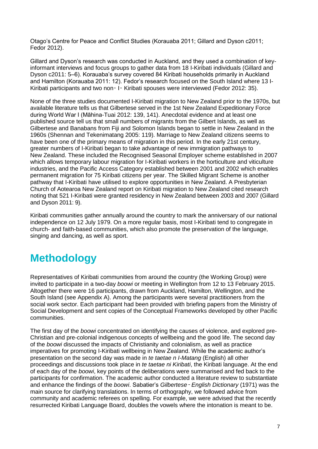Otago's Centre for Peace and Conflict Studies (Korauaba 2011; Gillard and Dyson c2011; Fedor 2012).

Gillard and Dyson's research was conducted in Auckland, and they used a combination of keyinformant interviews and focus groups to gather data from 18 I-Kiribati individuals (Gillard and Dyson c2011: 5–6). Korauaba's survey covered 84 Kiribati households primarily in Auckland and Hamilton (Korauaba 2011: 12). Fedor's research focused on the South Island where 13 I-Kiribati participants and two non - I - Kiribati spouses were interviewed (Fedor 2012: 35).

None of the three studies documented I-Kiribati migration to New Zealand prior to the 1970s, but available literature tells us that Gilbertese served in the 1st New Zealand Expeditionary Force during World War I (Māhina-Tuai 2012: 139, 141). Anecdotal evidence and at least one published source tell us that small numbers of migrants from the Gilbert Islands, as well as Gilbertese and Banabans from Fiji and Solomon Islands began to settle in New Zealand in the 1960s (Shennan and Tekenimatang 2005: 119). Marriage to New Zealand citizens seems to have been one of the primary means of migration in this period. In the early 21st century, greater numbers of I-Kiribati began to take advantage of new immigration pathways to New Zealand. These included the Recognised Seasonal Employer scheme established in 2007 which allows temporary labour migration for I-Kiribati workers in the horticulture and viticulture industries, and the Pacific Access Category established between 2001 and 2002 which enables permanent migration for 75 Kiribati citizens per year. The Skilled Migrant Scheme is another pathway that I-Kiribati have utilised to explore opportunities in New Zealand. A Presbyterian Church of Aotearoa New Zealand report on Kiribati migration to New Zealand cited research noting that 521 I-Kiribati were granted residency in New Zealand between 2003 and 2007 (Gillard and Dyson 2011: 9).

Kiribati communities gather annually around the country to mark the anniversary of our national independence on 12 July 1979. On a more regular basis, most I-Kiribati tend to congregate in church- and faith-based communities, which also promote the preservation of the language, singing and dancing, as well as sport.

# **Methodology**

Representatives of Kiribati communities from around the country (the Working Group) were invited to participate in a two-day *boowi* or meeting in Wellington from 12 to 13 February 2015. Altogether there were 16 participants, drawn from Auckland, Hamilton, Wellington, and the South Island (see Appendix A). Among the participants were several practitioners from the social work sector. Each participant had been provided with briefing papers from the Ministry of Social Development and sent copies of the Conceptual Frameworks developed by other Pacific communities.

The first day of the *boowi* concentrated on identifying the causes of violence, and explored pre-Christian and pre-colonial indigenous concepts of wellbeing and the good life. The second day of the *boowi* discussed the impacts of Christianity and colonialism, as well as practice imperatives for promoting I-Kiribati wellbeing in New Zealand. While the academic author's presentation on the second day was made in *te taetae n I-Matang* (English) all other proceedings and discussions took place in *te taetae ni Kiribati*, the Kiribati language. At the end of each day of the *boowi*, key points of the deliberations were summarised and fed back to the participants for confirmation. The academic author conducted a literature review to substantiate and enhance the findings of the *boowi*. Sabatier's *Gilbertese*‑ *English Dictionary* (1971) was the main source for clarifying translations. In terms of orthography, we followed advice from community and academic referees on spelling. For example, we were advised that the recently resurrected Kiribati Language Board, doubles the vowels where the intonation is meant to be.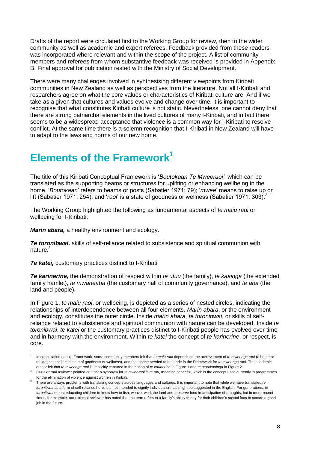Drafts of the report were circulated first to the Working Group for review, then to the wider community as well as academic and expert referees. Feedback provided from these readers was incorporated where relevant and within the scope of the project. A list of community members and referees from whom substantive feedback was received is provided in Appendix B. Final approval for publication rested with the Ministry of Social Development.

There were many challenges involved in synthesising different viewpoints from Kiribati communities in New Zealand as well as perspectives from the literature. Not all I-Kiribati and researchers agree on what the core values or characteristics of Kiribati culture are. And if we take as a given that cultures and values evolve and change over time, it is important to recognise that what constitutes Kiribati culture is not static. Nevertheless, one cannot deny that there are strong patriarchal elements in the lived cultures of many I-Kiribati, and in fact there seems to be a widespread acceptance that violence is a common way for I-Kiribati to resolve conflict. At the same time there is a solemn recognition that I-Kiribati in New Zealand will have to adapt to the laws and norms of our new home.

# **Elements of the Framework<sup>1</sup>**

The title of this Kiribati Conceptual Framework is '*Boutokaan Te Mweeraoi'*, which can be translated as the supporting beams or structures for uplifting or enhancing wellbeing in the home. '*Boutokaan*' refers to beams or posts (Sabatier 1971: 79); '*mwee*' means to raise up or lift (Sabatier 1971: 254); and '*raoi*' is a state of goodness or wellness (Sabatier 1971: 303).

The Working Group highlighted the following as fundamental aspects of *te maiu raoi* or wellbeing for I-Kiribati:

*Marin abara,* a healthy environment and ecology.

*Te toronibwai,* skills of self-reliance related to subsistence and spiritual communion with nature.<sup>3</sup>

*Te katei,* customary practices distinct to I-Kiribati.

*Te karinerine,* the demonstration of respect within *te utuu* (the family), *te kaainga* (the extended family hamlet), *te mwaneaba* (the customary hall of community governance), and *te aba* (the land and people).

In Figure 1, *te maiu raoi*, or wellbeing, is depicted as a series of nested circles, indicating the relationships of interdependence between all four elements. *Marin abara*, or the environment and ecology, constitutes the outer circle. Inside *marin abara*, *te toronibwai*, or skills of selfreliance related to subsistence and spiritual communion with nature can be developed. Inside *te toronibwai*, *te katei* or the customary practices distinct to I-Kiribati people has evolved over time and in harmony with the environment. Within *te katei* the concept of *te karinerine*, or respect, is core.

<sup>-</sup>1 In consultation on this Framework, some community members felt that *te maiu raoi* depends on the achievement of *te mweenga raoi* (a home or residence that is in a state of goodness or wellness), and that space needed to be made in the Framework for *te mweenga raoi*. The academic author felt that *te mweenga raoi* is implicitly captured in the notion of *te karinerine* in Figure 1 and *te utuu/kaainga* in Figure 2.

<sup>&</sup>lt;sup>2</sup> Our external reviewer pointed out that a synonym for *te mweeraoi is te rau*, meaning peaceful, which is the concept used currently in programmes for the elimination of violence against women in Kiribati.

<sup>3</sup> There are always problems with translating concepts across languages and cultures. It is important to note that while we have translated *te toronibwai* as a form of self-reliance here, it is not intended to signify individualism, as might be suggested in the English. For generations, *te toronibwai* meant educating children to know how to fish, weave, work the land and preserve food in anticipation of droughts, but in more recent times, for example, our external reviewer has noted that the term refers to a family's ability to pay for their children's school fees to secure a good job in the future.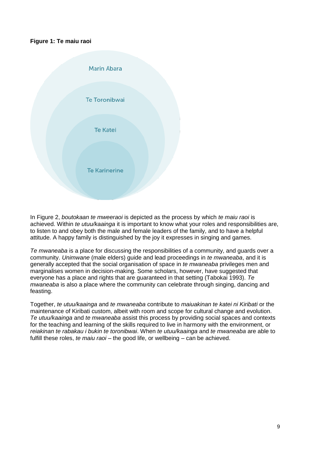#### **Figure 1: Te maiu raoi**



In Figure 2, *boutokaan te mweeraoi* is depicted as the process by which *te maiu raoi* is achieved. Within *te utuu/kaainga* it is important to know what your roles and responsibilities are, to listen to and obey both the male and female leaders of the family, and to have a helpful attitude. A happy family is distinguished by the joy it expresses in singing and games.

*Te mwaneaba* is a place for discussing the responsibilities of a community, and guards over a community. *Unimwane* (male elders) guide and lead proceedings in *te mwaneaba*, and it is generally accepted that the social organisation of space in *te mwaneaba* privileges men and marginalises women in decision-making. Some scholars, however, have suggested that everyone has a place and rights that are guaranteed in that setting (Tabokai 1993). *Te mwaneaba* is also a place where the community can celebrate through singing, dancing and feasting.

Together, *te utuu/kaainga* and *te mwaneaba* contribute to *maiuakinan te katei ni Kiribati* or the maintenance of Kiribati custom, albeit with room and scope for cultural change and evolution. *Te utuu/kaainga* and *te mwaneaba* assist this process by providing social spaces and contexts for the teaching and learning of the skills required to live in harmony with the environment, or *reiakinan te rabakau i bukin te toronibwai*. When *te utuu/kaainga* and *te mwaneaba* are able to fulfill these roles, *te maiu raoi* – the good life, or wellbeing – can be achieved.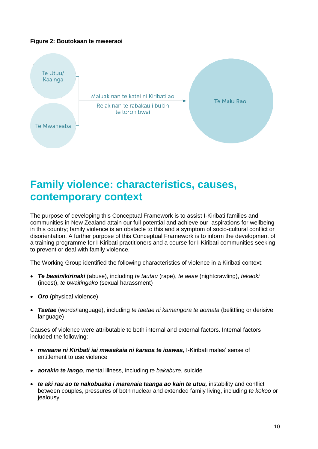#### **Figure 2: Boutokaan te mweeraoi**



### **Family violence: characteristics, causes, contemporary context**

The purpose of developing this Conceptual Framework is to assist I-Kiribati families and communities in New Zealand attain our full potential and achieve our aspirations for wellbeing in this country; family violence is an obstacle to this and a symptom of socio-cultural conflict or disorientation. A further purpose of this Conceptual Framework is to inform the development of a training programme for I-Kiribati practitioners and a course for I-Kiribati communities seeking to prevent or deal with family violence.

The Working Group identified the following characteristics of violence in a Kiribati context:

- *Te bwainikirinaki* (abuse), including *te tautau* (rape), *te aeae* (nightcrawling), *tekaoki* (incest), *te bwaitingako* (sexual harassment)
- *Oro* (physical violence)
- *Taetae* (words/language), including *te taetae ni kamangora te aomata* (belittling or derisive language)

Causes of violence were attributable to both internal and external factors. Internal factors included the following:

- *mwaane ni Kiribati iai mwaakaia ni karaoa te ioawaa,* I-Kiribati males' sense of entitlement to use violence
- *aorakin te iango*, mental illness, including *te bakabure*, suicide
- *te aki rau ao te nakobuaka i marenaia taanga ao kain te utuu,* instability and conflict between couples, pressures of both nuclear and extended family living, including *te kokoo* or jealousy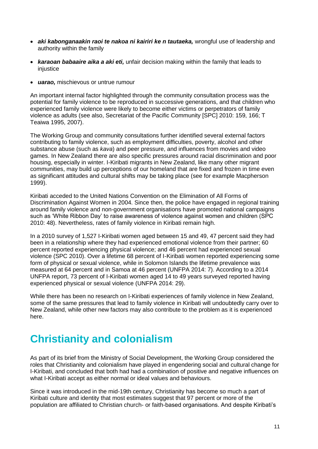- *aki kabonganaakin raoi te nakoa ni kairiri ke n tautaeka,* wrongful use of leadership and authority within the family
- *karaoan babaaire aika a aki eti,* unfair decision making within the family that leads to iniustice
- *uarao,* mischievous or untrue rumour

An important internal factor highlighted through the community consultation process was the potential for family violence to be reproduced in successive generations, and that children who experienced family violence were likely to become either victims or perpetrators of family violence as adults (see also, Secretariat of the Pacific Community [SPC] 2010: 159, 166; T Teaiwa 1995, 2007).

The Working Group and community consultations further identified several external factors contributing to family violence, such as employment difficulties, poverty, alcohol and other substance abuse (such as *kava*) and peer pressure, and influences from movies and video games. In New Zealand there are also specific pressures around racial discrimination and poor housing, especially in winter. I-Kiribati migrants in New Zealand, like many other migrant communities, may build up perceptions of our homeland that are fixed and frozen in time even as significant attitudes and cultural shifts may be taking place (see for example Macpherson 1999).

Kiribati acceded to the United Nations Convention on the Elimination of All Forms of Discrimination Against Women in 2004. Since then, the police have engaged in regional training around family violence and non-government organisations have promoted national campaigns such as 'White Ribbon Day' to raise awareness of violence against women and children (SPC 2010: 48). Nevertheless, rates of family violence in Kiribati remain high.

In a 2010 survey of 1,527 I-Kiribati women aged between 15 and 49, 47 percent said they had been in a relationship where they had experienced emotional violence from their partner; 60 percent reported experiencing physical violence; and 46 percent had experienced sexual violence (SPC 2010). Over a lifetime 68 percent of I-Kiribati women reported experiencing some form of physical or sexual violence, while in Solomon Islands the lifetime prevalence was measured at 64 percent and in Samoa at 46 percent (UNFPA 2014: 7). According to a 2014 UNFPA report, 73 percent of I-Kiribati women aged 14 to 49 years surveyed reported having experienced physical or sexual violence (UNFPA 2014: 29).

While there has been no research on I-Kiribati experiences of family violence in New Zealand, some of the same pressures that lead to family violence in Kiribati will undoubtedly carry over to New Zealand, while other new factors may also contribute to the problem as it is experienced here.

# **Christianity and colonialism**

As part of its brief from the Ministry of Social Development, the Working Group considered the roles that Christianity and colonialism have played in engendering social and cultural change for I-Kiribati, and concluded that both had had a combination of positive and negative influences on what I-Kiribati accept as either normal or ideal values and behaviours.

Since it was introduced in the mid-19th century, Christianity has become so much a part of Kiribati culture and identity that most estimates suggest that 97 percent or more of the population are affiliated to Christian church- or faith-based organisations. And despite Kiribati's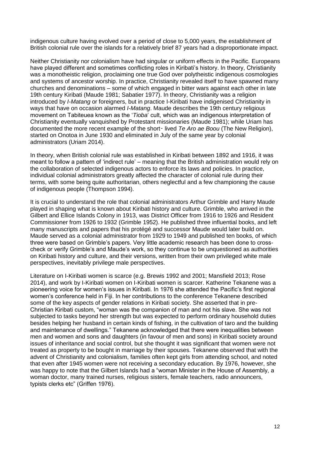indigenous culture having evolved over a period of close to 5,000 years, the establishment of British colonial rule over the islands for a relatively brief 87 years had a disproportionate impact.

Neither Christianity nor colonialism have had singular or uniform effects in the Pacific. Europeans have played different and sometimes conflicting roles in Kiribati's history. In theory, Christianity was a monotheistic religion, proclaiming one true God over polytheistic indigenous cosmologies and systems of ancestor worship. In practice, Christianity revealed itself to have spawned many churches and denominations – some of which engaged in bitter wars against each other in late 19th century Kiribati (Maude 1981; Sabatier 1977). In theory, Christianity was a religion introduced by *I-Matang* or foreigners, but in practice I-Kiribati have indigenised Christianity in ways that have on occasion alarmed *I-Matang*. Maude describes the 19th century religious movement on Tabiteuea known as the '*Tioba*' cult, which was an indigenous interpretation of Christianity eventually vanquished by Protestant missionaries (Maude 1981); while Uriam has documented the more recent example of the short‑ lived *Te Aro ae Boou* (The New Religion), started on Onotoa in June 1930 and eliminated in July of the same year by colonial administrators (Uriam 2014).

In theory, when British colonial rule was established in Kiribati between 1892 and 1916, it was meant to follow a pattern of 'indirect rule' – meaning that the British administration would rely on the collaboration of selected indigenous actors to enforce its laws and policies. In practice, individual colonial administrators greatly affected the character of colonial rule during their terms, with some being quite authoritarian, others neglectful and a few championing the cause of indigenous people (Thompson 1994).

It is crucial to understand the role that colonial administrators Arthur Grimble and Harry Maude played in shaping what is known about Kiribati history and culture. Grimble, who arrived in the Gilbert and Ellice Islands Colony in 1913, was District Officer from 1916 to 1926 and Resident Commissioner from 1926 to 1932 (Grimble 1952). He published three influential books, and left many manuscripts and papers that his protégé and successor Maude would later build on. Maude served as a colonial administrator from 1929 to 1949 and published ten books, of which three were based on Grimble's papers. Very little academic research has been done to crosscheck or verify Grimble's and Maude's work, so they continue to be unquestioned as authorities on Kiribati history and culture, and their versions, written from their own privileged white male perspectives, inevitably privilege male perspectives.

Literature on I-Kiribati women is scarce (e.g. Brewis 1992 and 2001; Mansfield 2013; Rose 2014), and work by I-Kiribati women on I-Kiribati women is scarcer. Katherine Tekanene was a pioneering voice for women's issues in Kiribati. In 1976 she attended the Pacific's first regional women's conference held in Fiji. In her contributions to the conference Tekanene described some of the key aspects of gender relations in Kiribati society. She asserted that in pre-Christian Kiribati custom, "woman was the companion of man and not his slave. She was not subjected to tasks beyond her strength but was expected to perform ordinary household duties besides helping her husband in certain kinds of fishing, in the cultivation of taro and the building and maintenance of dwellings." Tekanene acknowledged that there were inequalities between men and women and sons and daughters (in favour of men and sons) in Kiribati society around issues of inheritance and social control, but she thought it was significant that women were not treated as property to be bought in marriage by their spouses. Tekanene observed that with the advent of Christianity and colonialism, families often kept girls from attending school, and noted that even after 1945 women were not receiving a secondary education. By 1976, however, she was happy to note that the Gilbert Islands had a "woman Minister in the House of Assembly, a woman doctor, many trained nurses, religious sisters, female teachers, radio announcers, typists clerks etc" (Griffen 1976).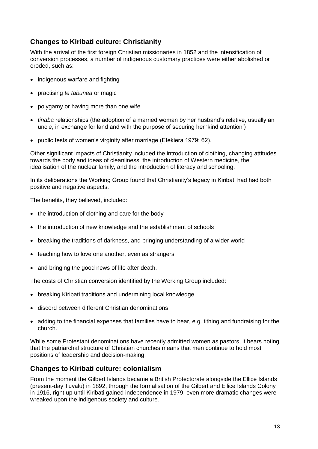#### **Changes to Kiribati culture: Christianity**

With the arrival of the first foreign Christian missionaries in 1852 and the intensification of conversion processes, a number of indigenous customary practices were either abolished or eroded, such as:

- indigenous warfare and fighting
- practising *te tabunea* or magic
- polygamy or having more than one wife
- *tinaba* relationships (the adoption of a married woman by her husband's relative, usually an uncle, in exchange for land and with the purpose of securing her 'kind attention')
- public tests of women's virginity after marriage (Etekiera 1979: 62).

Other significant impacts of Christianity included the introduction of clothing, changing attitudes towards the body and ideas of cleanliness, the introduction of Western medicine, the idealisation of the nuclear family, and the introduction of literacy and schooling.

In its deliberations the Working Group found that Christianity's legacy in Kiribati had had both positive and negative aspects.

The benefits, they believed, included:

- the introduction of clothing and care for the body
- the introduction of new knowledge and the establishment of schools
- breaking the traditions of darkness, and bringing understanding of a wider world
- teaching how to love one another, even as strangers
- and bringing the good news of life after death.

The costs of Christian conversion identified by the Working Group included:

- breaking Kiribati traditions and undermining local knowledge
- discord between different Christian denominations
- adding to the financial expenses that families have to bear, e.g. tithing and fundraising for the church.

While some Protestant denominations have recently admitted women as pastors, it bears noting that the patriarchal structure of Christian churches means that men continue to hold most positions of leadership and decision-making.

#### **Changes to Kiribati culture: colonialism**

From the moment the Gilbert Islands became a British Protectorate alongside the Ellice Islands (present-day Tuvalu) in 1892, through the formalisation of the Gilbert and Ellice Islands Colony in 1916, right up until Kiribati gained independence in 1979, even more dramatic changes were wreaked upon the indigenous society and culture.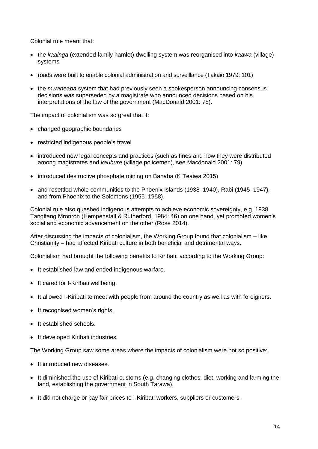Colonial rule meant that:

- the *kaainga* (extended family hamlet) dwelling system was reorganised into *kaawa* (village) systems
- roads were built to enable colonial administration and surveillance (Takaio 1979: 101)
- the *mwaneaba* system that had previously seen a spokesperson announcing consensus decisions was superseded by a magistrate who announced decisions based on his interpretations of the law of the government (MacDonald 2001: 78).

The impact of colonialism was so great that it:

- changed geographic boundaries
- restricted indigenous people's travel
- introduced new legal concepts and practices (such as fines and how they were distributed among magistrates and *kaubure* (village policemen), see Macdonald 2001: 79)
- introduced destructive phosphate mining on Banaba (K Teaiwa 2015)
- and resettled whole communities to the Phoenix Islands (1938–1940), Rabi (1945–1947), and from Phoenix to the Solomons (1955–1958).

Colonial rule also quashed indigenous attempts to achieve economic sovereignty, e.g. 1938 Tangitang Mronron (Hempenstall & Rutherford, 1984: 46) on one hand, yet promoted women's social and economic advancement on the other (Rose 2014).

After discussing the impacts of colonialism, the Working Group found that colonialism – like Christianity – had affected Kiribati culture in both beneficial and detrimental ways.

Colonialism had brought the following benefits to Kiribati, according to the Working Group:

- It established law and ended indigenous warfare.
- It cared for I-Kiribati wellbeing.
- It allowed I-Kiribati to meet with people from around the country as well as with foreigners.
- It recognised women's rights.
- It established schools.
- It developed Kiribati industries.

The Working Group saw some areas where the impacts of colonialism were not so positive:

- It introduced new diseases.
- It diminished the use of Kiribati customs (e.g. changing clothes, diet, working and farming the land, establishing the government in South Tarawa).
- It did not charge or pay fair prices to I-Kiribati workers, suppliers or customers.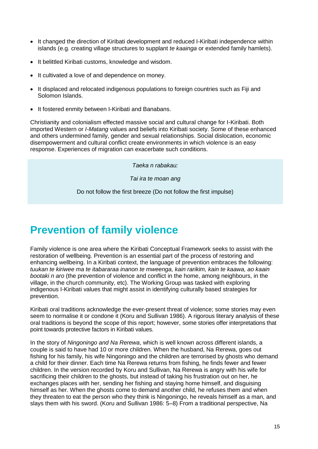- It changed the direction of Kiribati development and reduced I-Kiribati independence within islands (e.g. creating village structures to supplant *te kaainga* or extended family hamlets).
- It belittled Kiribati customs, knowledge and wisdom.
- It cultivated a love of and dependence on money.
- It displaced and relocated indigenous populations to foreign countries such as Fiji and Solomon Islands.
- It fostered enmity between I-Kiribati and Banabans.

Christianity and colonialism effected massive social and cultural change for I-Kiribati. Both imported Western or *I-Matang* values and beliefs into Kiribati society. Some of these enhanced and others undermined family, gender and sexual relationships. Social dislocation, economic disempowerment and cultural conflict create environments in which violence is an easy response. Experiences of migration can exacerbate such conditions.

*Taeka n rabakau:*

*Tai ira te moan ang*

Do not follow the first breeze (Do not follow the first impulse)

# **Prevention of family violence**

Family violence is one area where the Kiribati Conceptual Framework seeks to assist with the restoration of wellbeing. Prevention is an essential part of the process of restoring and enhancing wellbeing. In a Kiribati context, the language of prevention embraces the following: *tuukan te kiriwee ma te itabararaa inanon te mweenga, kain rarikim, kain te kaawa, ao kaain bootaki n aro* (the prevention of violence and conflict in the home, among neighbours, in the village, in the church community, etc). The Working Group was tasked with exploring indigenous I-Kiribati values that might assist in identifying culturally based strategies for prevention.

Kiribati oral traditions acknowledge the ever-present threat of violence; some stories may even seem to normalise it or condone it (Koru and Sullivan 1986). A rigorous literary analysis of these oral traditions is beyond the scope of this report; however, some stories offer interpretations that point towards protective factors in Kiribati values.

In the story of *Ningoningo and Na Rerewa*, which is well known across different islands, a couple is said to have had 10 or more children. When the husband, Na Rerewa, goes out fishing for his family, his wife Ningoningo and the children are terrorised by ghosts who demand a child for their dinner. Each time Na Rerewa returns from fishing, he finds fewer and fewer children. In the version recorded by Koru and Sullivan, Na Rerewa is angry with his wife for sacrificing their children to the ghosts, but instead of taking his frustration out on her, he exchanges places with her, sending her fishing and staying home himself, and disguising himself as her. When the ghosts come to demand another child, he refuses them and when they threaten to eat the person who they think is Ningoningo, he reveals himself as a man, and slays them with his sword. (Koru and Sullivan 1986: 5–8) From a traditional perspective, Na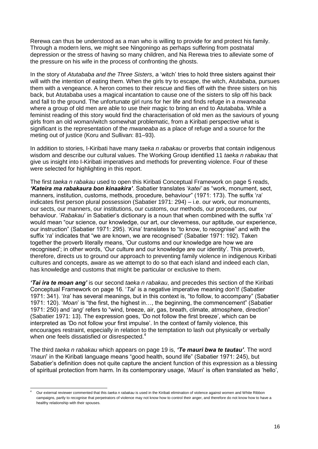Rerewa can thus be understood as a man who is willing to provide for and protect his family. Through a modern lens, we might see Ningoningo as perhaps suffering from postnatal depression or the stress of having so many children, and Na Rerewa tries to alleviate some of the pressure on his wife in the process of confronting the ghosts.

In the story of *Atutababa and the Three Sisters*, a 'witch' tries to hold three sisters against their will with the intention of eating them. When the girls try to escape, the witch, Atutababa, pursues them with a vengeance. A heron comes to their rescue and flies off with the three sisters on his back, but Atutababa uses a magical incantation to cause one of the sisters to slip off his back and fall to the ground. The unfortunate girl runs for her life and finds refuge in a *mwaneaba* where a group of old men are able to use their magic to bring an end to Atutababa. While a feminist reading of this story would find the characterisation of old men as the saviours of young girls from an old woman/witch somewhat problematic, from a Kiribati perspective what is significant is the representation of the *mwaneaba* as a place of refuge and a source for the meting out of justice (Koru and Sullivan: 81–93).

In addition to stories, I-Kiribati have many *taeka n rabakau* or proverbs that contain indigenous wisdom and describe our cultural values. The Working Group identified 11 *taeka n rabakau* that give us insight into I-Kiribati imperatives and methods for preventing violence. Four of these were selected for highlighting in this report.

The first *taeka n rabakau* used to open this Kiribati Conceptual Framework on page 5 reads, *'Kateira ma rabakaura bon kinaakira'*. Sabatier translates '*katei'* as "work, monument, sect, manners, institution, customs, methods, procedure, behaviour" (1971: 173). The suffix '*ra*' indicates first person plural possession (Sabatier 1971: 294) – i.e. our work, our monuments, our sects, our manners, our institutions, our customs, our methods, our procedures, our behaviour. '*Rabakau*' in Sabatier's dictionary is a noun that when combined with the suffix '*ra*' would mean "our science, our knowledge, our art, our cleverness, our aptitude, our experience, our instruction" (Sabatier 1971: 295). '*Kina*' translates to "to know, to recognise" and with the suffix '*ra*' indicates that "we are known, we are recognised" (Sabatier 1971: 192). Taken together the proverb literally means, 'Our customs and our knowledge are how we are recognised'; in other words, 'Our culture and our knowledge are our identity'. This proverb, therefore, directs us to ground our approach to preventing family violence in indigenous Kiribati cultures and concepts, aware as we attempt to do so that each island and indeed each clan, has knowledge and customs that might be particular or exclusive to them.

*'Tai ira te moan ang'* is our second *taeka n rabakau*, and precedes this section of the Kiribati Conceptual Framework on page 16. '*Tai*' is a negative imperative meaning don't! (Sabatier 1971: 341). '*Ira*' has several meanings, but in this context is, "to follow, to accompany" (Sabatier 1971: 120). '*Moan*' is "the first, the highest in…, the beginning, the commencement" (Sabatier 1971: 250) and '*ang*' refers to "wind, breeze, air, gas, breath, climate, atmosphere, direction" (Sabatier 1971: 13). The expression goes, 'Do not follow the first breeze', which can be interpreted as 'Do not follow your first impulse'. In the context of family violence, this encourages restraint, especially in relation to the temptation to lash out physically or verbally when one feels dissatisfied or disrespected.<sup>4</sup>

The third *taeka n rabakau* which appears on page 19 is, *'Te mauri bwa te tautau'*. The word '*mauri*' in the Kiribati language means "good health, sound life" (Sabatier 1971: 245), but Sabatier's definition does not quite capture the ancient function of this expression as a blessing of spiritual protection from harm. In its contemporary usage, '*Mauri*' is often translated as 'hello',

-

<sup>4</sup> Our external reviewer commented that this *taeka n rabakau* is used in the Kiribati elimination of violence against women and White Ribbon campaigns, partly to recognise that perpetrators of violence may not know how to control their anger, and therefore do not know how to have a healthy relationship with their spouses.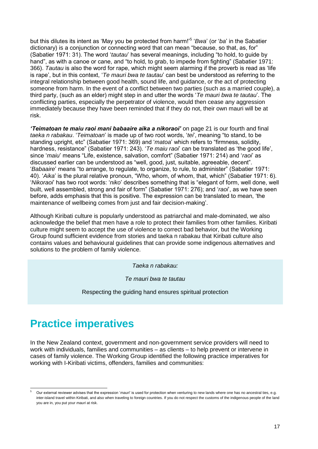but this dilutes its intent as 'May you be protected from harm!'<sup>5</sup> '*Bwa*' (or '*ba*' in the Sabatier dictionary) is a conjunction or connecting word that can mean "because, so that, as, for" (Sabatier 1971: 31). The word '*tautau*' has several meanings, including "to hold, to guide by hand", as with a canoe or cane, and "to hold, to grab, to impede from fighting" (Sabatier 1971: 366). *Tautau* is also the word for rape, which might seem alarming if the proverb is read as 'life is rape', but in this context, '*Te mauri bwa te tautau*' can best be understood as referring to the integral relationship between good health, sound life, and guidance, or the act of protecting someone from harm. In the event of a conflict between two parties (such as a married couple), a third party, (such as an elder) might step in and utter the words '*Te mauri bwa te tautau*'. The conflicting parties, especially the perpetrator of violence, would then cease any aggression immediately because they have been reminded that if they do not, their own mauri will be at risk.

*'Teimatoan te maiu raoi mani babaaire aika a nikoraoi'* on page 21 is our fourth and final *taeka n rabakau*. '*Teimatoan*' is made up of two root words, '*tei*', meaning "to stand, to be standing upright, etc" (Sabatier 1971: 369) and '*matoa*' which refers to "firmness, solidity, hardness, resistance" (Sabatier 1971: 243). '*Te maiu raoi*' can be translated as 'the good life', since '*maiu*' means "Life, existence, salvation, comfort" (Sabatier 1971: 214) and '*raoi*' as discussed earlier can be understood as "well, good, just, suitable, agreeable, decent". '*Babaaire*' means "to arrange, to regulate, to organize, to rule, to administer" (Sabatier 1971: 40). '*Aika*' is the plural relative pronoun, "Who, whom, of whom, that, which" (Sabatier 1971: 6). '*Nikoraoi*' has two root words: '*niko*' describes something that is "elegant of form, well done, well built, well assembled, strong and fair of form" (Sabatier 1971: 276); and '*raoi*', as we have seen before, adds emphasis that this is positive. The expression can be translated to mean, 'the maintenance of wellbeing comes from just and fair decision-making'.

Although Kiribati culture is popularly understood as patriarchal and male-dominated, we also acknowledge the belief that men have a role to protect their families from other families. Kiribati culture might seem to accept the use of violence to correct bad behavior, but the Working Group found sufficient evidence from stories and taeka n rabakau that Kiribati culture also contains values and behavioural guidelines that can provide some indigenous alternatives and solutions to the problem of family violence.

*Taeka n rabakau:*

*Te mauri bwa te tautau*

Respecting the guiding hand ensures spiritual protection

### **Practice imperatives**

-

In the New Zealand context, government and non-government service providers will need to work with individuals, families and communities – as clients – to help prevent or intervene in cases of family violence. The Working Group identified the following practice imperatives for working with I-Kiribati victims, offenders, families and communities:

Our external reviewer advises that the expression 'mauri' is used for protection when venturing to new lands where one has no ancestral ties, e.g. inter-island travel within Kiribati, and also when traveling to foreign countries. If you do not respect the customs of the indigenous people of the land you are in, you put your *mauri* at risk.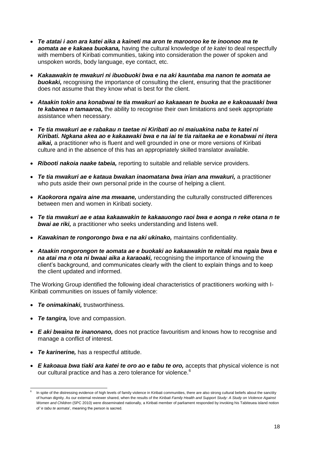- *Te atatai i aon ara katei aika a kaineti ma aron te marooroo ke te inoonoo ma te aomata ae e kakaea buokana,* having the cultural knowledge of *te katei* to deal respectfully with members of Kiribati communities, taking into consideration the power of spoken and unspoken words, body language, eye contact, etc.
- *Kakaawakin te mwakuri ni ibuobuoki bwa e na aki kauntaba ma nanon te aomata ae*  **buokaki,** recognising the importance of consulting the client, ensuring that the practitioner does not assume that they know what is best for the client.
- *Ataakin tokin ana konabwai te tia mwakuri ao kakaaean te buoka ae e kakoauaaki bwa te kabanea n tamaaroa,* the ability to recognise their own limitations and seek appropriate assistance when necessary.
- *Te tia mwakuri ae e rabakau n taetae ni Kiribati ao ni maiuakina naba te katei ni Kiribati. Ngkana akea ao e kakaawaki bwa e na iai te tia raitaeka ae e konabwai ni itera aikai,* a practitioner who is fluent and well grounded in one or more versions of Kiribati culture and in the absence of this has an appropriately skilled translator available.
- *Ribooti nakoia naake tabeia,* reporting to suitable and reliable service providers.
- *Te tia mwakuri ae e kataua bwakan inaomatana bwa irian ana mwakuri,* a practitioner who puts aside their own personal pride in the course of helping a client.
- *Kaokorora ngaira aine ma mwaane,* understanding the culturally constructed differences between men and women in Kiribati society.
- *Te tia mwakuri ae e ataa kakaawakin te kakaauongo raoi bwa e aonga n reke otana n te bwai ae riki,* a practitioner who seeks understanding and listens well.
- *Kawakinan te rongorongo bwa e na aki ukinako,* maintains confidentiality.
- *Ataakin rongorongon te aomata ae e buokaki ao kakaawakin te reitaki ma ngaia bwa e na atai ma n ota ni bwaai aika a karaoaki,* recognising the importance of knowing the client's background, and communicates clearly with the client to explain things and to keep the client updated and informed.

The Working Group identified the following ideal characteristics of practitioners working with I-Kiribati communities on issues of family violence:

- *Te onimakinaki,* trustworthiness.
- *Te tangira,* love and compassion.

-

- *E aki bwaina te inanonano,* does not practice favouritism and knows how to recognise and manage a conflict of interest.
- *Te karinerine,* has a respectful attitude.
- *E kakoaua bwa tiaki ara katei te oro ao e tabu te oro,* accepts that physical violence is not our cultural practice and has a zero tolerance for violence.<sup>6</sup>

<sup>6</sup> In spite of the distressing evidence of high levels of family violence in Kiribati communities, there are also strong cultural beliefs about the sanctity of human dignity. As our external reviewer shared, when the results of the *Kiribati Family Health and Support Study: A Study on Violence Against Women and Children* (SPC 2010) were disseminated nationally, a Kiribati member of parliament responded by invoking his Tabiteuea island notion of '*e tabu te aomata*', meaning the person is sacred.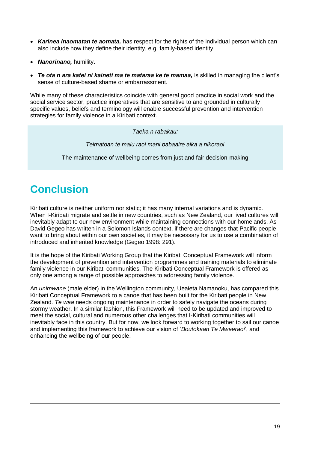- *Karinea inaomatan te aomata,* has respect for the rights of the individual person which can also include how they define their identity, e.g. family-based identity.
- *Nanorinano,* humility.
- *Te ota n ara katei ni kaineti ma te mataraa ke te mamaa,* is skilled in managing the client's sense of culture-based shame or embarrassment.

While many of these characteristics coincide with general good practice in social work and the social service sector, practice imperatives that are sensitive to and grounded in culturally specific values, beliefs and terminology will enable successful prevention and intervention strategies for family violence in a Kiribati context.

*Taeka n rabakau:*

*Teimatoan te maiu raoi mani babaaire aika a nikoraoi*

The maintenance of wellbeing comes from just and fair decision-making

# **Conclusion**

-

Kiribati culture is neither uniform nor static; it has many internal variations and is dynamic. When I-Kiribati migrate and settle in new countries, such as New Zealand, our lived cultures will inevitably adapt to our new environment while maintaining connections with our homelands. As David Gegeo has written in a Solomon Islands context, if there are changes that Pacific people want to bring about within our own societies, it may be necessary for us to use a combination of introduced and inherited knowledge (Gegeo 1998: 291).

It is the hope of the Kiribati Working Group that the Kiribati Conceptual Framework will inform the development of prevention and intervention programmes and training materials to eliminate family violence in our Kiribati communities. The Kiribati Conceptual Framework is offered as only one among a range of possible approaches to addressing family violence.

An *unimwane* (male elder) in the Wellington community, Ueaieta Namanoku, has compared this Kiribati Conceptual Framework to a canoe that has been built for the Kiribati people in New Zealand. *Te waa* needs ongoing maintenance in order to safely navigate the oceans during stormy weather. In a similar fashion, this Framework will need to be updated and improved to meet the social, cultural and numerous other challenges that I-Kiribati communities will inevitably face in this country. But for now, we look forward to working together to sail our canoe and implementing this framework to achieve our vision of '*Boutokaan Te Mweeraoi*', and enhancing the wellbeing of our people.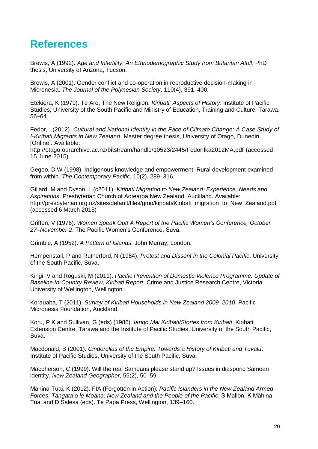### **References**

Brewis, A (1992). *Age and Infertility: An Ethnodemographic Study from Butaritari Atoll*. PhD thesis, University of Arizona, Tucson.

Brewis, A (2001). Gender conflict and co-operation in reproductive decision-making in Micronesia. *The Journal of the Polynesian Society*, 110(4), 391–400.

Etekiera, K (1979). Te Aro, The New Religion. *Kiribati: Aspects of History*. Institute of Pacific Studies, University of the South Pacific and Ministry of Education, Training and Culture, Tarawa, 56–64.

Fedor, I (2012). *Cultural and National Identity in the Face of Climate Change: A Case Study of I-Kiribati Migrants in New Zealand*. Master degree thesis, University of Otago, Dunedin. [Online]. Available:

<http://otago.ourarchive.ac.nz/bitstream/handle/10523/2445/FedorIlka2012MA.pdf> (accessed 15 June 2015).

Gegeo, D W (1998). Indigenous knowledge and empowerment: Rural development examined from within. *The Contemporary Pacific*, 10(2), 289–316.

Gillard, M and Dyson, L (c2011). *Kiribati Migration to New Zealand: Experience, Needs and Aspirations*. Presbyterian Church of Aotearoa New Zealand, Auckland. Available: [http://presbyterian.org.nz/sites/default/files/gmo/kiribati/Kiribati\\_migration\\_to\\_New\\_Zealand.pdf](http://presbyterian.org.nz/sites/default/files/gmo/kiribati/Kiribati_migration_to_New_Zealand.pdf) (accessed 6 March 2015)

Griffen, V (1976). *Women Speak Out! A Report of the Pacific Women's Conference, October 27–November 2*. The Pacific Women's Conference, Suva.

Grimble, A (1952). *A Pattern of Islands*. John Murray, London.

Hempenstall, P and Rutherford, N (1984). *Protest and Dissent in the Colonial Pacific*. University of the South Pacific, Suva.

Kingi, V and Roguski, M (2011). *Pacific Prevention of Domestic Violence Programme: Update of Baseline In-Country Review, Kiribati Report*. Crime and Justice Research Centre, Victoria University of Wellington, Wellington.

Korauaba, T (2011). *Survey of Kiribati Households in New Zealand 2009–2010*. Pacific Micronesia Foundation, Auckland.

Koru, P K and Sullivan, G (eds) (1986). *Iango Mai Kiribati/Stories from Kiribati*. Kiribati Extension Centre, Tarawa and the Institute of Pacific Studies, University of the South Pacific, Suva.

Macdonald, B (2001). *Cinderellas of the Empire: Towards a History of Kiribati and Tuvalu*. Institute of Pacific Studies, University of the South Pacific, Suva.

Macpherson, C (1999). Will the real Samoans please stand up? Issues in diasporic Samoan identity. *New Zealand Geographer*, 55(2), 50–59.

Māhina-Tuai, K (2012). FIA (Forgotten in Action): *Pacific Islanders in the New Zealand Armed Forces. Tangata o le Moana: New Zealand and the People of the Pacific*, S Mallon, K Māhina-Tuai and D Salesa (eds). Te Papa Press, Wellington, 139–160.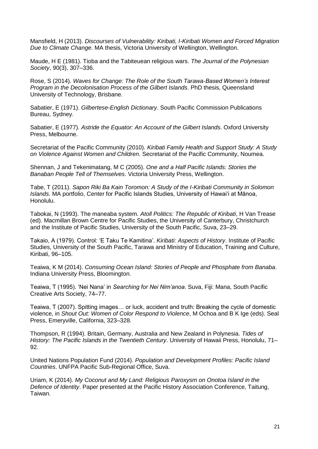Mansfield, H (2013). *Discourses of Vulnerability: Kiribati, I-Kiribati Women and Forced Migration Due to Climate Change*. MA thesis, Victoria University of Wellington, Wellington.

Maude, H E (1981). Tioba and the Tabiteuean religious wars. *The Journal of the Polynesian Society*, 90(3), 307–336.

Rose, S (2014). *Waves for Change: The Role of the South Tarawa-Based Women's Interest Program in the Decolonisation Process of the Gilbert Islands*. PhD thesis, Queensland University of Technology, Brisbane.

Sabatier, E (1971). *Gilbertese-English Dictionary*. South Pacific Commission Publications Bureau, Sydney.

Sabatier, E (1977). *Astride the Equator: An Account of the Gilbert Islands*. Oxford University Press, Melbourne.

Secretariat of the Pacific Community (2010). *Kiribati Family Health and Support Study: A Study on Violence Against Women and Children*. Secretariat of the Pacific Community, Noumea.

Shennan, J and Tekenimatang, M C (2005). *One and a Half Pacific Islands: Stories the Banaban People Tell of Themselves*. Victoria University Press, Wellington.

Tabe, T (2011). *Sapon Riki Ba Kain Toromon: A Study of the I-Kiribati Community in Solomon Islands*. MA portfolio, Center for Pacific Islands Studies, University of Hawai'i at Mānoa, Honolulu.

Tabokai, N (1993). The maneaba system. *Atoll Politics: The Republic of Kiribati*, H Van Trease (ed). Macmillan Brown Centre for Pacific Studies, the University of Canterbury, Christchurch and the Institute of Pacific Studies, University of the South Pacific, Suva, 23–29.

Takaio, A (1979). Control: 'E Taku Te Kamitina'. *Kiribati: Aspects of History*. Institute of Pacific Studies, University of the South Pacific, Tarawa and Ministry of Education, Training and Culture, Kiribati, 96–105.

Teaiwa, K M (2014). *Consuming Ocean Island: Stories of People and Phosphate from Banaba*. Indiana University Press, Bloomington.

Teaiwa, T (1995). 'Nei Nana' in *Searching for Nei Nim'anoa*. Suva, Fiji: Mana, South Pacific Creative Arts Society, 74–77.

Teaiwa, T (2007). Spitting images… or luck, accident and truth: Breaking the cycle of domestic violence, in *Shout Out: Women of Color Respond to Violence*, M Ochoa and B K Ige (eds). Seal Press, Emeryville, California, 323–328.

Thompson, R (1994). Britain, Germany, Australia and New Zealand in Polynesia. *Tides of History: The Pacific Islands in the Twentieth Century*. University of Hawaii Press, Honolulu, 71– 92.

United Nations Population Fund (2014). *Population and Development Profiles: Pacific Island Countries*. UNFPA Pacific Sub-Regional Office, Suva.

Uriam, K (2014). *My Coconut and My Land: Religious Paroxysm on Onotoa Island in the Defence of Identity*. Paper presented at the Pacific History Association Conference, Taitung, Taiwan.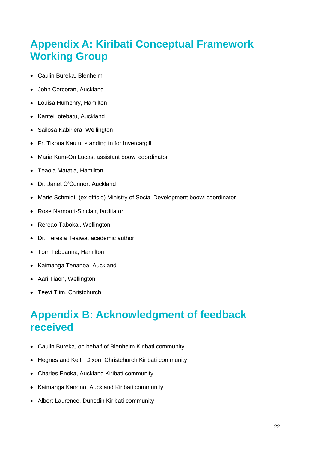# **Appendix A: Kiribati Conceptual Framework Working Group**

- Caulin Bureka, Blenheim
- John Corcoran, Auckland
- Louisa Humphry, Hamilton
- Kantei lotebatu, Auckland
- Sailosa Kabiriera, Wellington
- Fr. Tikoua Kautu, standing in for Invercargill
- Maria Kum-On Lucas, assistant boowi coordinator
- Teaoia Matatia, Hamilton
- Dr. Janet O'Connor, Auckland
- Marie Schmidt, (ex officio) Ministry of Social Development boowi coordinator
- Rose Namoori-Sinclair, facilitator
- Rereao Tabokai, Wellington
- Dr. Teresia Teaiwa, academic author
- Tom Tebuanna, Hamilton
- Kaimanga Tenanoa, Auckland
- Aari Tiaon, Wellington
- Teevi Tiim, Christchurch

### **Appendix B: Acknowledgment of feedback received**

- Caulin Bureka, on behalf of Blenheim Kiribati community
- Hegnes and Keith Dixon, Christchurch Kiribati community
- Charles Enoka, Auckland Kiribati community
- Kaimanga Kanono, Auckland Kiribati community
- Albert Laurence, Dunedin Kiribati community